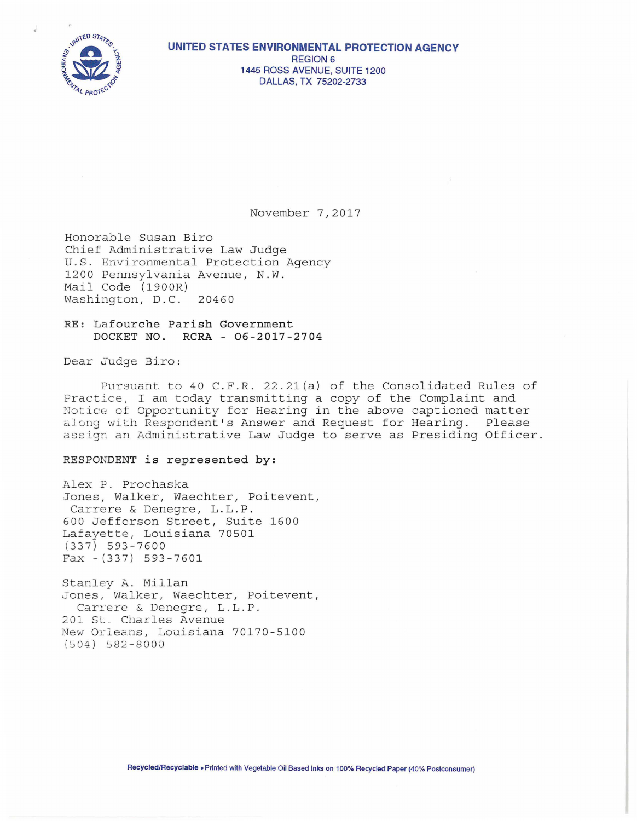

November 7,2017

Honorable Susan Biro Chief Administrative Law Judge U.S. Environmental Protection Agency 1200 Pennsylvania Avenue, N.W. Mail Code (1900R) Washington, D.C. 20460

RE: Lafourche Parish Government DOCKET NO. RCRA - 06-2017-2704

Dear Judge Biro:

Pursuant to 40 C.F.R. 22.21(a) of the Consolidated Rules of Practice, I am today transmitting a copy of the Complaint and Notice of Opportunity for Hearing in the above captioned matter along with Respondent's Answer and Request for Hearing. Please assign an Administrative Law Judge to serve as Presiding Officer.

## RESPONDENT is represented by:

Alex P. Prochaska Jones, Walker, Waechter, Poitevent, Carrere & Denegre, L.L.P. 600 Jefferson Street, Suite 1600 Lafayette, Louisiana 70501  $(337) 593 - 7600$  $Fax - (337) 593 - 7601$ 

Stanley A. Millan Jones, Walker, Waechter, Poitevent, Carrere & Denegre, L.L.P. 201 St. Charles Avenue New Orleans, Louisiana 70170-5100  $(504)$  582-8000